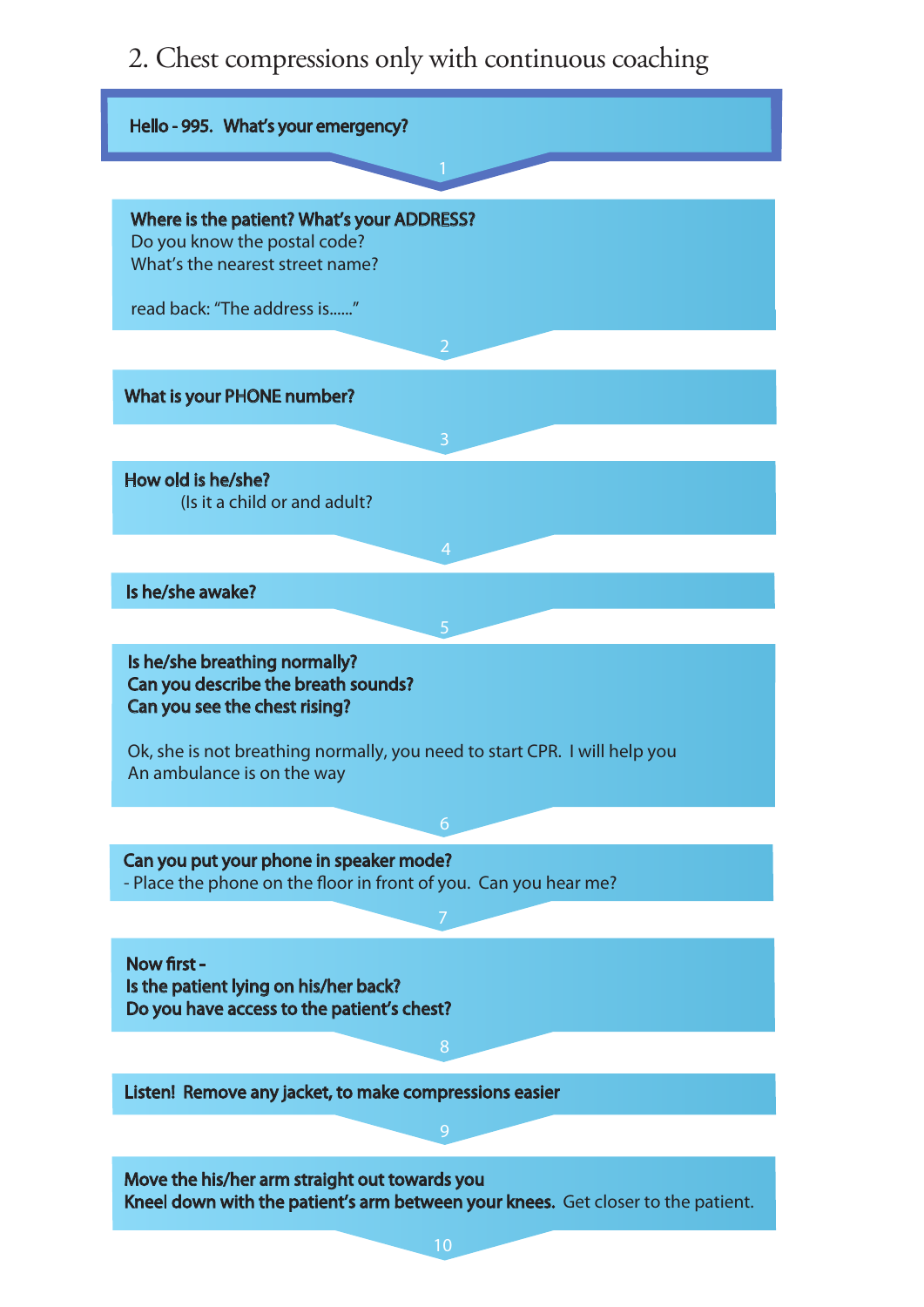2. Chest compressions only with continuous coaching